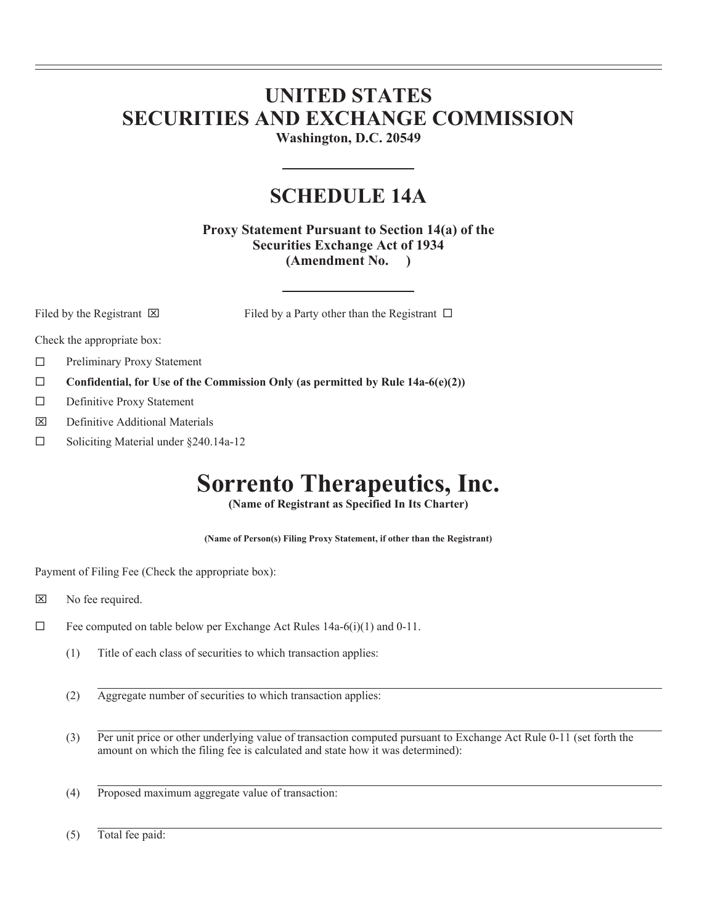## **UNITED STATES SECURITIES AND EXCHANGE COMMISSION**

**Washington, D.C. 20549** 

### **SCHEDULE 14A**

**Proxy Statement Pursuant to Section 14(a) of the Securities Exchange Act of 1934 (Amendment No. )** 

 $\overline{a}$  $\overline{a}$ 

Filed by the Registrant  $\boxtimes$  Filed by a Party other than the Registrant  $\Box$ 

Check the appropriate box:

- □ Preliminary Proxy Statement
- **Confidential, for Use of the Commission Only (as permitted by Rule 14a-6(e)(2))**
- Definitive Proxy Statement
- $\boxtimes$  Definitive Additional Materials
- $\Box$  Soliciting Material under §240.14a-12

# **Sorrento Therapeutics, Inc.**

**(Name of Registrant as Specified In Its Charter)** 

**(Name of Person(s) Filing Proxy Statement, if other than the Registrant)** 

Payment of Filing Fee (Check the appropriate box):

- $\boxtimes$  No fee required.
- $\Box$  Fee computed on table below per Exchange Act Rules 14a-6(i)(1) and 0-11.
	- (1) Title of each class of securities to which transaction applies:
	- (2) Aggregate number of securities to which transaction applies:
	- (3) Per unit price or other underlying value of transaction computed pursuant to Exchange Act Rule 0-11 (set forth the amount on which the filing fee is calculated and state how it was determined):
	- (4) Proposed maximum aggregate value of transaction:

(5) Total fee paid: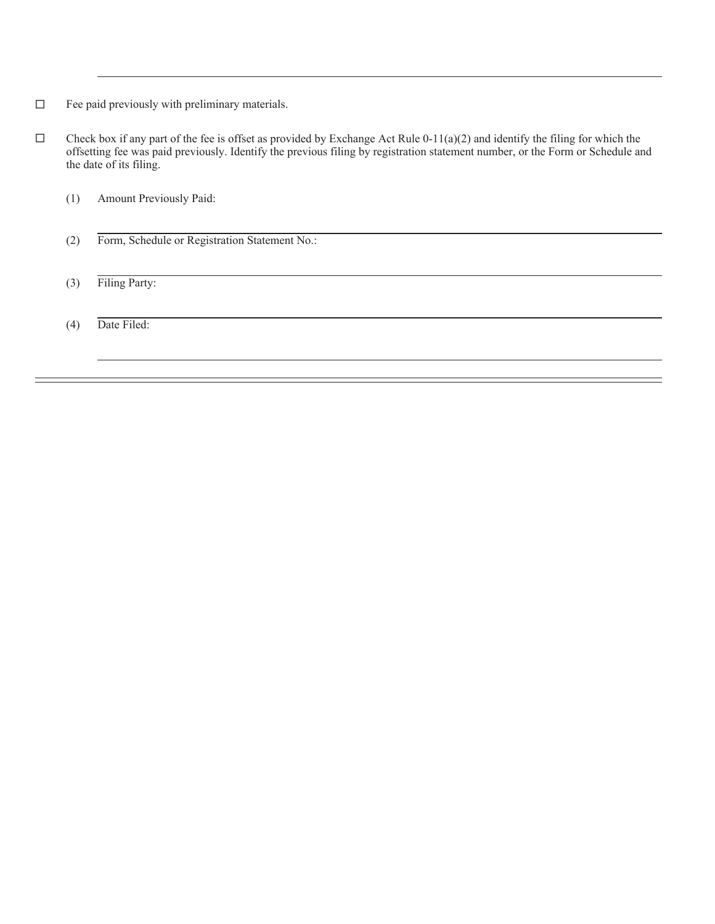- $\Box$  Fee paid previously with preliminary materials.
- $\square$  Check box if any part of the fee is offset as provided by Exchange Act Rule 0-11(a)(2) and identify the filing for which the offsetting fee was paid previously. Identify the previous filing by registration statement number, or the Form or Schedule and the date of its filing.
	- (1) Amount Previously Paid:
	- (2) Form, Schedule or Registration Statement No.:

(3) Filing Party:

(4) Date Filed:

 $\overline{a}$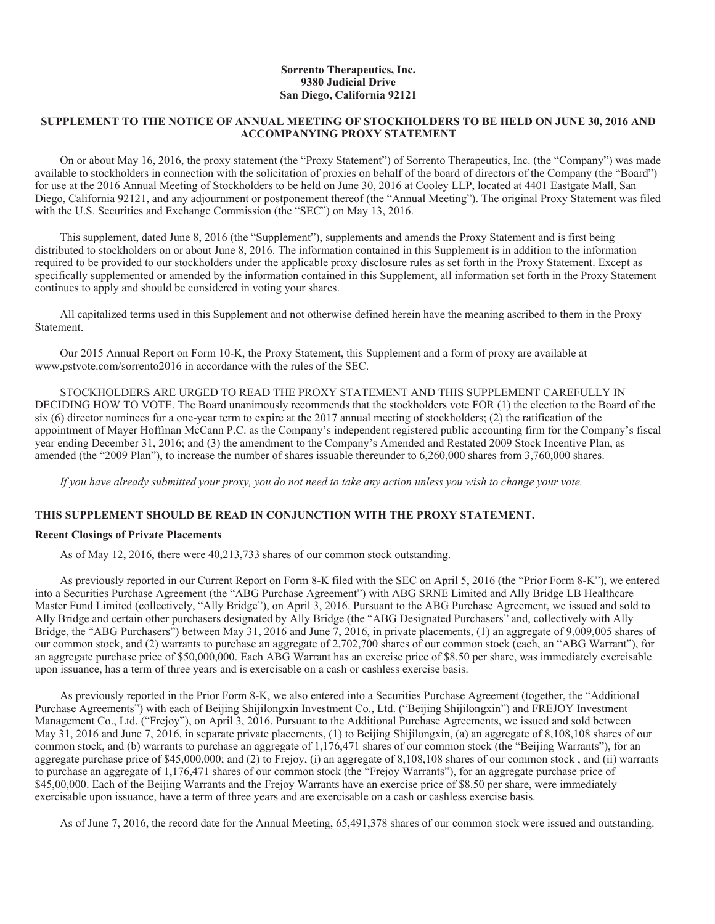#### **Sorrento Therapeutics, Inc. 9380 Judicial Drive San Diego, California 92121**

#### **SUPPLEMENT TO THE NOTICE OF ANNUAL MEETING OF STOCKHOLDERS TO BE HELD ON JUNE 30, 2016 AND ACCOMPANYING PROXY STATEMENT**

On or about May 16, 2016, the proxy statement (the "Proxy Statement") of Sorrento Therapeutics, Inc. (the "Company") was made available to stockholders in connection with the solicitation of proxies on behalf of the board of directors of the Company (the "Board") for use at the 2016 Annual Meeting of Stockholders to be held on June 30, 2016 at Cooley LLP, located at 4401 Eastgate Mall, San Diego, California 92121, and any adjournment or postponement thereof (the "Annual Meeting"). The original Proxy Statement was filed with the U.S. Securities and Exchange Commission (the "SEC") on May 13, 2016.

This supplement, dated June 8, 2016 (the "Supplement"), supplements and amends the Proxy Statement and is first being distributed to stockholders on or about June 8, 2016. The information contained in this Supplement is in addition to the information required to be provided to our stockholders under the applicable proxy disclosure rules as set forth in the Proxy Statement. Except as specifically supplemented or amended by the information contained in this Supplement, all information set forth in the Proxy Statement continues to apply and should be considered in voting your shares.

All capitalized terms used in this Supplement and not otherwise defined herein have the meaning ascribed to them in the Proxy Statement.

Our 2015 Annual Report on Form 10-K, the Proxy Statement, this Supplement and a form of proxy are available at www.pstvote.com/sorrento2016 in accordance with the rules of the SEC.

STOCKHOLDERS ARE URGED TO READ THE PROXY STATEMENT AND THIS SUPPLEMENT CAREFULLY IN DECIDING HOW TO VOTE. The Board unanimously recommends that the stockholders vote FOR (1) the election to the Board of the six (6) director nominees for a one-year term to expire at the 2017 annual meeting of stockholders; (2) the ratification of the appointment of Mayer Hoffman McCann P.C. as the Company's independent registered public accounting firm for the Company's fiscal year ending December 31, 2016; and (3) the amendment to the Company's Amended and Restated 2009 Stock Incentive Plan, as amended (the "2009 Plan"), to increase the number of shares issuable thereunder to 6,260,000 shares from 3,760,000 shares.

*If you have already submitted your proxy, you do not need to take any action unless you wish to change your vote.* 

#### **THIS SUPPLEMENT SHOULD BE READ IN CONJUNCTION WITH THE PROXY STATEMENT.**

#### **Recent Closings of Private Placements**

As of May 12, 2016, there were 40,213,733 shares of our common stock outstanding.

As previously reported in our Current Report on Form 8-K filed with the SEC on April 5, 2016 (the "Prior Form 8-K"), we entered into a Securities Purchase Agreement (the "ABG Purchase Agreement") with ABG SRNE Limited and Ally Bridge LB Healthcare Master Fund Limited (collectively, "Ally Bridge"), on April 3, 2016. Pursuant to the ABG Purchase Agreement, we issued and sold to Ally Bridge and certain other purchasers designated by Ally Bridge (the "ABG Designated Purchasers" and, collectively with Ally Bridge, the "ABG Purchasers") between May 31, 2016 and June 7, 2016, in private placements, (1) an aggregate of 9,009,005 shares of our common stock, and (2) warrants to purchase an aggregate of 2,702,700 shares of our common stock (each, an "ABG Warrant"), for an aggregate purchase price of \$50,000,000. Each ABG Warrant has an exercise price of \$8.50 per share, was immediately exercisable upon issuance, has a term of three years and is exercisable on a cash or cashless exercise basis.

As previously reported in the Prior Form 8-K, we also entered into a Securities Purchase Agreement (together, the "Additional Purchase Agreements") with each of Beijing Shijilongxin Investment Co., Ltd. ("Beijing Shijilongxin") and FREJOY Investment Management Co., Ltd. ("Frejoy"), on April 3, 2016. Pursuant to the Additional Purchase Agreements, we issued and sold between May 31, 2016 and June 7, 2016, in separate private placements, (1) to Beijing Shijilongxin, (a) an aggregate of 8,108,108 shares of our common stock, and (b) warrants to purchase an aggregate of 1,176,471 shares of our common stock (the "Beijing Warrants"), for an aggregate purchase price of \$45,000,000; and (2) to Frejoy, (i) an aggregate of 8,108,108 shares of our common stock , and (ii) warrants to purchase an aggregate of 1,176,471 shares of our common stock (the "Frejoy Warrants"), for an aggregate purchase price of \$45,00,000. Each of the Beijing Warrants and the Frejoy Warrants have an exercise price of \$8.50 per share, were immediately exercisable upon issuance, have a term of three years and are exercisable on a cash or cashless exercise basis.

As of June 7, 2016, the record date for the Annual Meeting, 65,491,378 shares of our common stock were issued and outstanding.